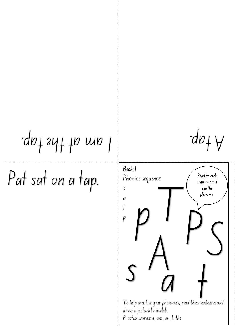## I am at the tap. A tap.

Pat sat on a tap.

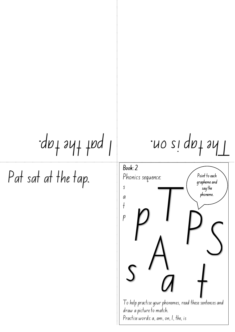$\frac{1}{2}$   $\frac{1}{2}$   $\frac{1}{2}$   $\frac{1}{2}$   $\frac{1}{2}$   $\frac{1}{2}$   $\frac{1}{2}$   $\frac{1}{2}$   $\frac{1}{2}$   $\frac{1}{2}$   $\frac{1}{2}$ 

Pat sat at the tap.

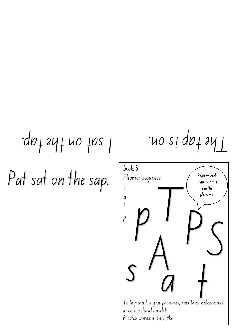## $\mathcal{L}_{\text{dpl}}$  and the tap inclends.

Pat sat on the sap.